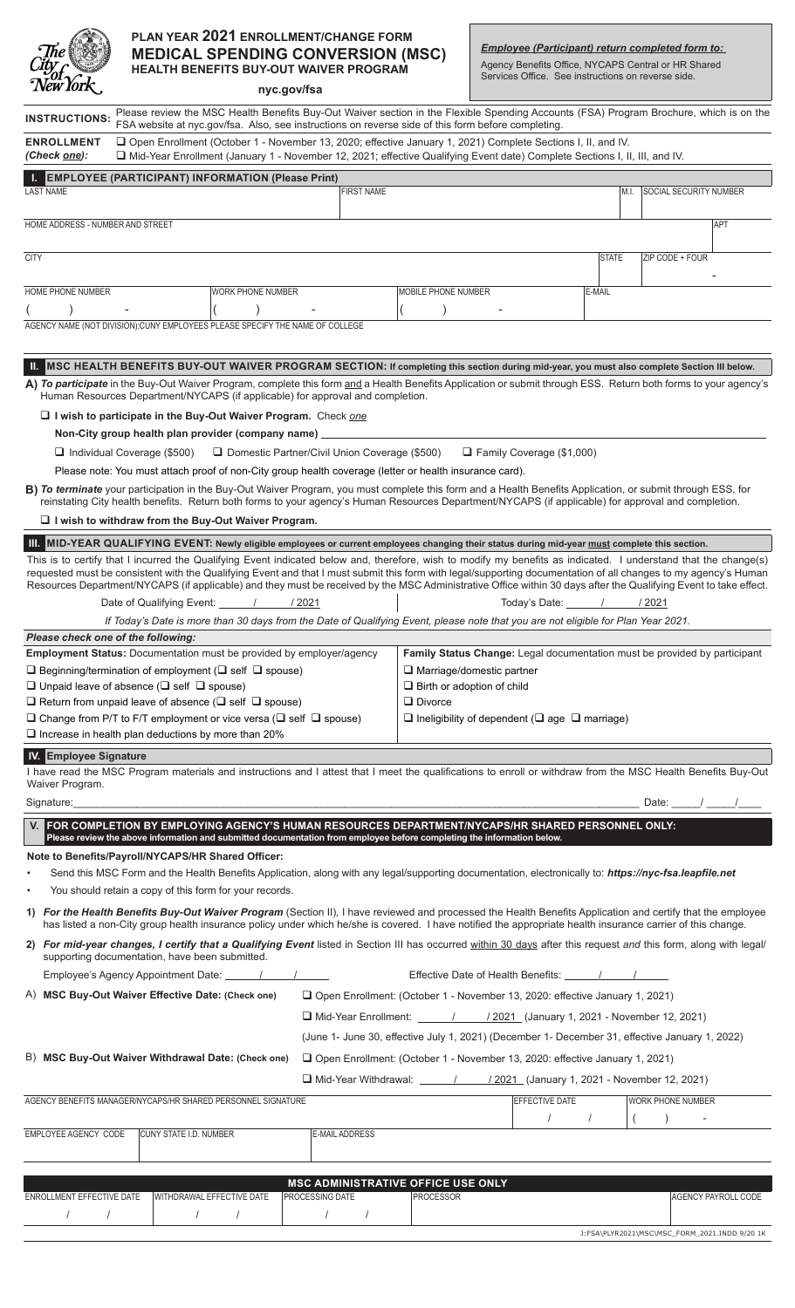

## **PLAN YEAR 2021 ENROLLMENT/CHANGE FORM MEDICAL SPENDING CONVERSION (MSC) HEALTH BENEFITS BUY-OUT WAIVER PROGRAM**

*Employee (Participant) return completed form to:*

Agency Benefits Office, NYCAPS Central or HR Shared Services Office. See instructions on reverse side.

| $1$ vew $101N$ .                                                                                                                                                                                                                                                                                                                                                                                 |                                                                                                                                                                                                                                                                                                                                                                                                                                                                                                         |                                                                  | nyc.gov/fsa                                                                        |                                                                 |                                                                                                |  |                                       |              |      |                                               |                            |
|--------------------------------------------------------------------------------------------------------------------------------------------------------------------------------------------------------------------------------------------------------------------------------------------------------------------------------------------------------------------------------------------------|---------------------------------------------------------------------------------------------------------------------------------------------------------------------------------------------------------------------------------------------------------------------------------------------------------------------------------------------------------------------------------------------------------------------------------------------------------------------------------------------------------|------------------------------------------------------------------|------------------------------------------------------------------------------------|-----------------------------------------------------------------|------------------------------------------------------------------------------------------------|--|---------------------------------------|--------------|------|-----------------------------------------------|----------------------------|
| <b>INSTRUCTIONS:</b>                                                                                                                                                                                                                                                                                                                                                                             | Please review the MSC Health Benefits Buy-Out Waiver section in the Flexible Spending Accounts (FSA) Program Brochure, which is on the                                                                                                                                                                                                                                                                                                                                                                  |                                                                  |                                                                                    |                                                                 |                                                                                                |  |                                       |              |      |                                               |                            |
| FSA website at nyc.gov/fsa. Also, see instructions on reverse side of this form before completing.<br>□ Open Enrollment (October 1 - November 13, 2020; effective January 1, 2021) Complete Sections I, II, and IV.<br><b>ENROLLMENT</b><br>(Check <u>one</u> ):<br>□ Mid-Year Enrollment (January 1 - November 12, 2021; effective Qualifying Event date) Complete Sections I, II, III, and IV. |                                                                                                                                                                                                                                                                                                                                                                                                                                                                                                         |                                                                  |                                                                                    |                                                                 |                                                                                                |  |                                       |              |      |                                               |                            |
|                                                                                                                                                                                                                                                                                                                                                                                                  | <b>I. EMPLOYEE (PARTICIPANT) INFORMATION (Please Print)</b>                                                                                                                                                                                                                                                                                                                                                                                                                                             |                                                                  |                                                                                    |                                                                 |                                                                                                |  |                                       |              |      |                                               |                            |
| <b>LAST NAME</b>                                                                                                                                                                                                                                                                                                                                                                                 |                                                                                                                                                                                                                                                                                                                                                                                                                                                                                                         |                                                                  |                                                                                    | <b>FIRST NAME</b>                                               |                                                                                                |  |                                       |              | M.I. | <b>SOCIAL SECURITY NUMBER</b>                 |                            |
| HOME ADDRESS - NUMBER AND STREET                                                                                                                                                                                                                                                                                                                                                                 |                                                                                                                                                                                                                                                                                                                                                                                                                                                                                                         |                                                                  |                                                                                    |                                                                 |                                                                                                |  |                                       |              |      |                                               | <b>APT</b>                 |
| <b>CITY</b>                                                                                                                                                                                                                                                                                                                                                                                      |                                                                                                                                                                                                                                                                                                                                                                                                                                                                                                         |                                                                  |                                                                                    |                                                                 |                                                                                                |  |                                       | <b>STATE</b> |      | ZIP CODE + FOUR                               |                            |
| HOME PHONE NUMBER                                                                                                                                                                                                                                                                                                                                                                                |                                                                                                                                                                                                                                                                                                                                                                                                                                                                                                         | <b>WORK PHONE NUMBER</b>                                         |                                                                                    |                                                                 | <b>MOBILE PHONE NUMBER</b>                                                                     |  |                                       | E-MAIL       |      |                                               |                            |
|                                                                                                                                                                                                                                                                                                                                                                                                  |                                                                                                                                                                                                                                                                                                                                                                                                                                                                                                         |                                                                  |                                                                                    |                                                                 |                                                                                                |  |                                       |              |      |                                               |                            |
|                                                                                                                                                                                                                                                                                                                                                                                                  | AGENCY NAME (NOT DIVISION):CUNY EMPLOYEES PLEASE SPECIFY THE NAME OF COLLEGE                                                                                                                                                                                                                                                                                                                                                                                                                            |                                                                  |                                                                                    |                                                                 |                                                                                                |  |                                       |              |      |                                               |                            |
| Ш.                                                                                                                                                                                                                                                                                                                                                                                               | MSC HEALTH BENEFITS BUY-OUT WAIVER PROGRAM SECTION: If completing this section during mid-year, you must also complete Section III below.                                                                                                                                                                                                                                                                                                                                                               |                                                                  |                                                                                    |                                                                 |                                                                                                |  |                                       |              |      |                                               |                            |
|                                                                                                                                                                                                                                                                                                                                                                                                  | A) To participate in the Buy-Out Waiver Program, complete this form and a Health Benefits Application or submit through ESS. Return both forms to your agency's                                                                                                                                                                                                                                                                                                                                         |                                                                  |                                                                                    |                                                                 |                                                                                                |  |                                       |              |      |                                               |                            |
| Human Resources Department/NYCAPS (if applicable) for approval and completion.                                                                                                                                                                                                                                                                                                                   |                                                                                                                                                                                                                                                                                                                                                                                                                                                                                                         |                                                                  |                                                                                    |                                                                 |                                                                                                |  |                                       |              |      |                                               |                            |
| $\Box$ I wish to participate in the Buy-Out Waiver Program. Check one                                                                                                                                                                                                                                                                                                                            |                                                                                                                                                                                                                                                                                                                                                                                                                                                                                                         |                                                                  |                                                                                    |                                                                 |                                                                                                |  |                                       |              |      |                                               |                            |
| Non-City group health plan provider (company name) ______                                                                                                                                                                                                                                                                                                                                        |                                                                                                                                                                                                                                                                                                                                                                                                                                                                                                         |                                                                  |                                                                                    |                                                                 |                                                                                                |  |                                       |              |      |                                               |                            |
| □ Domestic Partner/Civil Union Coverage (\$500)<br>$\Box$ Family Coverage (\$1,000)<br>$\Box$ Individual Coverage (\$500)<br>Please note: You must attach proof of non-City group health coverage (letter or health insurance card).                                                                                                                                                             |                                                                                                                                                                                                                                                                                                                                                                                                                                                                                                         |                                                                  |                                                                                    |                                                                 |                                                                                                |  |                                       |              |      |                                               |                            |
|                                                                                                                                                                                                                                                                                                                                                                                                  |                                                                                                                                                                                                                                                                                                                                                                                                                                                                                                         |                                                                  |                                                                                    |                                                                 |                                                                                                |  |                                       |              |      |                                               |                            |
| B) To terminate your participation in the Buy-Out Waiver Program, you must complete this form and a Health Benefits Application, or submit through ESS, for<br>reinstating City health benefits. Return both forms to your agency's Human Resources Department/NYCAPS (if applicable) for approval and completion.                                                                               |                                                                                                                                                                                                                                                                                                                                                                                                                                                                                                         |                                                                  |                                                                                    |                                                                 |                                                                                                |  |                                       |              |      |                                               |                            |
|                                                                                                                                                                                                                                                                                                                                                                                                  | $\sqcup$ I wish to withdraw from the Buy-Out Waiver Program.                                                                                                                                                                                                                                                                                                                                                                                                                                            |                                                                  |                                                                                    |                                                                 |                                                                                                |  |                                       |              |      |                                               |                            |
|                                                                                                                                                                                                                                                                                                                                                                                                  | III. MID-YEAR QUALIFYING EVENT: Newly eligible employees or current employees changing their status during mid-year must complete this section.                                                                                                                                                                                                                                                                                                                                                         |                                                                  |                                                                                    |                                                                 |                                                                                                |  |                                       |              |      |                                               |                            |
|                                                                                                                                                                                                                                                                                                                                                                                                  | This is to certify that I incurred the Qualifying Event indicated below and, therefore, wish to modify my benefits as indicated. I understand that the change(s)<br>requested must be consistent with the Qualifying Event and that I must submit this form with legal/supporting documentation of all changes to my agency's Human<br>Resources Department/NYCAPS (if applicable) and they must be received by the MSC Administrative Office within 30 days after the Qualifying Event to take effect. |                                                                  |                                                                                    |                                                                 |                                                                                                |  |                                       |              |      |                                               |                            |
|                                                                                                                                                                                                                                                                                                                                                                                                  | Date of Qualifying Event: 1 / 2021                                                                                                                                                                                                                                                                                                                                                                                                                                                                      |                                                                  |                                                                                    |                                                                 |                                                                                                |  | Today's Date: /                       |              |      | / 2021                                        |                            |
|                                                                                                                                                                                                                                                                                                                                                                                                  | If Today's Date is more than 30 days from the Date of Qualifying Event, please note that you are not eligible for Plan Year 2021.                                                                                                                                                                                                                                                                                                                                                                       |                                                                  |                                                                                    |                                                                 |                                                                                                |  |                                       |              |      |                                               |                            |
|                                                                                                                                                                                                                                                                                                                                                                                                  | Please check one of the following:                                                                                                                                                                                                                                                                                                                                                                                                                                                                      |                                                                  |                                                                                    |                                                                 |                                                                                                |  |                                       |              |      |                                               |                            |
|                                                                                                                                                                                                                                                                                                                                                                                                  | <b>Employment Status: Documentation must be provided by employer/agency</b>                                                                                                                                                                                                                                                                                                                                                                                                                             |                                                                  |                                                                                    |                                                                 | Family Status Change: Legal documentation must be provided by participant                      |  |                                       |              |      |                                               |                            |
| $\square$ Beginning/termination of employment ( $\square$ self $\square$ spouse)<br>$\Box$ Unpaid leave of absence ( $\Box$ self $\Box$ spouse)                                                                                                                                                                                                                                                  |                                                                                                                                                                                                                                                                                                                                                                                                                                                                                                         | A Marriage/domestic partner<br>$\Box$ Birth or adoption of child |                                                                                    |                                                                 |                                                                                                |  |                                       |              |      |                                               |                            |
| $\Box$ Return from unpaid leave of absence ( $\Box$ self $\Box$ spouse)                                                                                                                                                                                                                                                                                                                          |                                                                                                                                                                                                                                                                                                                                                                                                                                                                                                         | $\Box$ Divorce                                                   |                                                                                    |                                                                 |                                                                                                |  |                                       |              |      |                                               |                            |
| $\Box$ Change from P/T to F/T employment or vice versa ( $\Box$ self $\Box$ spouse)                                                                                                                                                                                                                                                                                                              |                                                                                                                                                                                                                                                                                                                                                                                                                                                                                                         |                                                                  |                                                                                    | $\Box$ Ineligibility of dependent ( $\Box$ age $\Box$ marriage) |                                                                                                |  |                                       |              |      |                                               |                            |
|                                                                                                                                                                                                                                                                                                                                                                                                  | $\Box$ Increase in health plan deductions by more than 20%                                                                                                                                                                                                                                                                                                                                                                                                                                              |                                                                  |                                                                                    |                                                                 |                                                                                                |  |                                       |              |      |                                               |                            |
| <b>IV.</b> Employee Signature                                                                                                                                                                                                                                                                                                                                                                    |                                                                                                                                                                                                                                                                                                                                                                                                                                                                                                         |                                                                  |                                                                                    |                                                                 |                                                                                                |  |                                       |              |      |                                               |                            |
| Waiver Program.                                                                                                                                                                                                                                                                                                                                                                                  | I have read the MSC Program materials and instructions and I attest that I meet the qualifications to enroll or withdraw from the MSC Health Benefits Buy-Out                                                                                                                                                                                                                                                                                                                                           |                                                                  |                                                                                    |                                                                 |                                                                                                |  |                                       |              |      |                                               |                            |
| Signature:                                                                                                                                                                                                                                                                                                                                                                                       |                                                                                                                                                                                                                                                                                                                                                                                                                                                                                                         |                                                                  |                                                                                    |                                                                 |                                                                                                |  |                                       |              |      | Date: $\frac{1}{\sqrt{2\pi}}$                 |                            |
|                                                                                                                                                                                                                                                                                                                                                                                                  | V. FOR COMPLETION BY EMPLOYING AGENCY'S HUMAN RESOURCES DEPARTMENT/NYCAPS/HR SHARED PERSONNEL ONLY:                                                                                                                                                                                                                                                                                                                                                                                                     |                                                                  |                                                                                    |                                                                 |                                                                                                |  |                                       |              |      |                                               |                            |
|                                                                                                                                                                                                                                                                                                                                                                                                  | Please review the above information and submitted documentation from employee before completing the information below.                                                                                                                                                                                                                                                                                                                                                                                  |                                                                  |                                                                                    |                                                                 |                                                                                                |  |                                       |              |      |                                               |                            |
|                                                                                                                                                                                                                                                                                                                                                                                                  | Note to Benefits/Payroll/NYCAPS/HR Shared Officer:                                                                                                                                                                                                                                                                                                                                                                                                                                                      |                                                                  |                                                                                    |                                                                 |                                                                                                |  |                                       |              |      |                                               |                            |
|                                                                                                                                                                                                                                                                                                                                                                                                  | Send this MSC Form and the Health Benefits Application, along with any legal/supporting documentation, electronically to: https://nyc-fsa.leapfile.net<br>You should retain a copy of this form for your records.                                                                                                                                                                                                                                                                                       |                                                                  |                                                                                    |                                                                 |                                                                                                |  |                                       |              |      |                                               |                            |
|                                                                                                                                                                                                                                                                                                                                                                                                  | 1) For the Health Benefits Buy-Out Waiver Program (Section II), I have reviewed and processed the Health Benefits Application and certify that the employee<br>has listed a non-City group health insurance policy under which he/she is covered. I have notified the appropriate health insurance carrier of this change.                                                                                                                                                                              |                                                                  |                                                                                    |                                                                 |                                                                                                |  |                                       |              |      |                                               |                            |
|                                                                                                                                                                                                                                                                                                                                                                                                  | 2) For mid-year changes, I certify that a Qualifying Event listed in Section III has occurred within 30 days after this request and this form, along with legal/                                                                                                                                                                                                                                                                                                                                        |                                                                  |                                                                                    |                                                                 |                                                                                                |  |                                       |              |      |                                               |                            |
|                                                                                                                                                                                                                                                                                                                                                                                                  | supporting documentation, have been submitted.<br>Employee's Agency Appointment Date: 1 1 1                                                                                                                                                                                                                                                                                                                                                                                                             |                                                                  |                                                                                    |                                                                 |                                                                                                |  |                                       |              |      |                                               |                            |
|                                                                                                                                                                                                                                                                                                                                                                                                  | A) MSC Buy-Out Waiver Effective Date: (Check one)                                                                                                                                                                                                                                                                                                                                                                                                                                                       |                                                                  |                                                                                    |                                                                 | □ Open Enrollment: (October 1 - November 13, 2020: effective January 1, 2021)                  |  |                                       |              |      |                                               |                            |
|                                                                                                                                                                                                                                                                                                                                                                                                  |                                                                                                                                                                                                                                                                                                                                                                                                                                                                                                         |                                                                  |                                                                                    |                                                                 | □ Mid-Year Enrollment: _______/ / 2021 (January 1, 2021 - November 12, 2021)                   |  |                                       |              |      |                                               |                            |
|                                                                                                                                                                                                                                                                                                                                                                                                  |                                                                                                                                                                                                                                                                                                                                                                                                                                                                                                         |                                                                  |                                                                                    |                                                                 | (June 1- June 30, effective July 1, 2021) (December 1- December 31, effective January 1, 2022) |  |                                       |              |      |                                               |                            |
|                                                                                                                                                                                                                                                                                                                                                                                                  | B) MSC Buy-Out Waiver Withdrawal Date: (Check one)                                                                                                                                                                                                                                                                                                                                                                                                                                                      |                                                                  |                                                                                    |                                                                 | □ Open Enrollment: (October 1 - November 13, 2020: effective January 1, 2021)                  |  |                                       |              |      |                                               |                            |
|                                                                                                                                                                                                                                                                                                                                                                                                  |                                                                                                                                                                                                                                                                                                                                                                                                                                                                                                         |                                                                  |                                                                                    |                                                                 |                                                                                                |  |                                       |              |      |                                               |                            |
|                                                                                                                                                                                                                                                                                                                                                                                                  |                                                                                                                                                                                                                                                                                                                                                                                                                                                                                                         |                                                                  | □ Mid-Year Withdrawal: ______ / _____ / 2021 (January 1, 2021 - November 12, 2021) |                                                                 |                                                                                                |  |                                       |              |      |                                               |                            |
| AGENCY BENEFITS MANAGER/NYCAPS/HR SHARED PERSONNEL SIGNATURE                                                                                                                                                                                                                                                                                                                                     |                                                                                                                                                                                                                                                                                                                                                                                                                                                                                                         |                                                                  |                                                                                    | EFFECTIVE DATE<br>$\prime$                                      |                                                                                                |  | <b>WORK PHONE NUMBER</b><br>$\lambda$ |              |      |                                               |                            |
| EMPLOYEE AGENCY CODE                                                                                                                                                                                                                                                                                                                                                                             | <b>CUNY STATE I.D. NUMBER</b>                                                                                                                                                                                                                                                                                                                                                                                                                                                                           |                                                                  |                                                                                    | E-MAIL ADDRESS                                                  |                                                                                                |  |                                       |              |      |                                               |                            |
|                                                                                                                                                                                                                                                                                                                                                                                                  |                                                                                                                                                                                                                                                                                                                                                                                                                                                                                                         |                                                                  |                                                                                    |                                                                 |                                                                                                |  |                                       |              |      |                                               |                            |
|                                                                                                                                                                                                                                                                                                                                                                                                  |                                                                                                                                                                                                                                                                                                                                                                                                                                                                                                         |                                                                  |                                                                                    |                                                                 | <b>MSC ADMINISTRATIVE OFFICE USE ONLY</b>                                                      |  |                                       |              |      |                                               |                            |
| ENROLLMENT EFFECTIVE DATE                                                                                                                                                                                                                                                                                                                                                                        |                                                                                                                                                                                                                                                                                                                                                                                                                                                                                                         | <b>WITHDRAWAL EFFECTIVE DATE</b>                                 | <b>PROCESSING DATE</b>                                                             |                                                                 | <b>PROCESSOR</b>                                                                               |  |                                       |              |      |                                               | <b>AGENCY PAYROLL CODE</b> |
| $\prime$                                                                                                                                                                                                                                                                                                                                                                                         | $\prime$                                                                                                                                                                                                                                                                                                                                                                                                                                                                                                | $\prime$                                                         | $\prime$                                                                           | $\prime$                                                        |                                                                                                |  |                                       |              |      |                                               |                            |
|                                                                                                                                                                                                                                                                                                                                                                                                  |                                                                                                                                                                                                                                                                                                                                                                                                                                                                                                         |                                                                  |                                                                                    |                                                                 |                                                                                                |  |                                       |              |      | J:FSA\PLYR2021\MSC\MSC_FORM_2021.INDD 9/20 1K |                            |